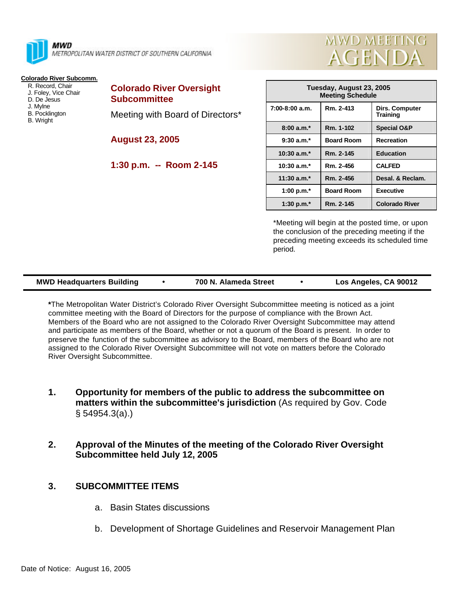

MWD METROPOLITAN WATER DISTRICT OF SOUTHERN CALIFORNIA

## **Colorado River Subcomm.**

 R. Record, Chair J. Foley, Vice Chair D. De Jesus J. Mylne B. Pocklington B. Wright

**Colorado River Oversight Subcommittee** Meeting with Board of Directors\*

**August 23, 2005**

**1:30 p.m. -- Room 2-145**

| Tuesday, August 23, 2005<br><b>Meeting Schedule</b> |                   |                                   |  |  |
|-----------------------------------------------------|-------------------|-----------------------------------|--|--|
| 7:00-8:00 a.m.                                      | Rm. 2-413         | Dirs. Computer<br><b>Training</b> |  |  |
| $8:00a.m.*$                                         | Rm. 1-102         | <b>Special O&amp;P</b>            |  |  |
| $9:30$ a.m. <sup>*</sup>                            | <b>Board Room</b> | <b>Recreation</b>                 |  |  |
| $10:30$ a.m. <sup>*</sup>                           | Rm. 2-145         | <b>Education</b>                  |  |  |
| $10:30 a.m.*$                                       | Rm. 2-456         | <b>CALFED</b>                     |  |  |
| $11:30$ a.m.*                                       | Rm. 2-456         | Desal. & Reclam.                  |  |  |
| 1:00 p.m. $*$                                       | <b>Board Room</b> | Executive                         |  |  |
| 1:30 p.m. $*$                                       | Rm. 2-145         | <b>Colorado River</b>             |  |  |

mwd meeting

**AGENDA** 

\*Meeting will begin at the posted time, or upon the conclusion of the preceding meeting if the preceding meeting exceeds its scheduled time period.

| <b>MWD Headquarters Building</b> | 700 N. Alameda Street | Los Angeles, CA 90012 |
|----------------------------------|-----------------------|-----------------------|
|                                  |                       |                       |

**\***The Metropolitan Water District's Colorado River Oversight Subcommittee meeting is noticed as a joint committee meeting with the Board of Directors for the purpose of compliance with the Brown Act. Members of the Board who are not assigned to the Colorado River Oversight Subcommittee may attend and participate as members of the Board, whether or not a quorum of the Board is present. In order to preserve the function of the subcommittee as advisory to the Board, members of the Board who are not assigned to the Colorado River Oversight Subcommittee will not vote on matters before the Colorado River Oversight Subcommittee.

- **1. Opportunity for members of the public to address the subcommittee on matters within the subcommittee's jurisdiction** (As required by Gov. Code § 54954.3(a).)
- **2. Approval of the Minutes of the meeting of the Colorado River Oversight Subcommittee held July 12, 2005**

## **3. SUBCOMMITTEE ITEMS**

- a. Basin States discussions
- b. Development of Shortage Guidelines and Reservoir Management Plan